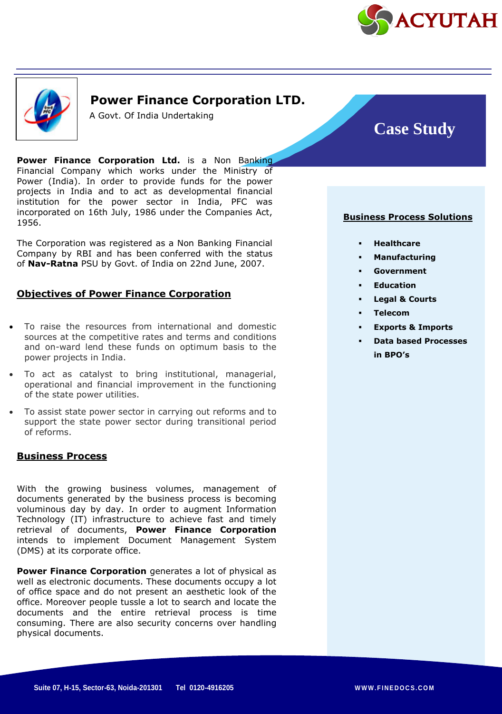



## **Power Finance Corporation LTD.**

A Govt. Of India Undertaking

**Power Finance Corporation Ltd.** is a Non Banking Financial Company which works under the Ministry of Power (India). In order to provide funds for the power projects in India and to act as developmental financial institution for the power sector in India, PFC was incorporated on 16th July, 1986 under the Companies Act, 1956.

The Corporation was registered as a Non Banking Financial Company by RBI and has been conferred with the status of **Nav-Ratna** PSU by Govt. of India on 22nd June, 2007.

### **Objectives of Power Finance Corporation**

- To raise the resources from international and domestic sources at the competitive rates and terms and conditions and on-ward lend these funds on optimum basis to the power projects in India.
- To act as catalyst to bring institutional, managerial, operational and financial improvement in the functioning of the state power utilities.
- To assist state power sector in carrying out reforms and to support the state power sector during transitional period of reforms.

#### **Business Process**

With the growing business volumes, management of documents generated by the business process is becoming voluminous day by day. In order to augment Information Technology (IT) infrastructure to achieve fast and timely retrieval of documents, **Power Finance Corporation** intends to implement Document Management System (DMS) at its corporate office.

**Power Finance Corporation** generates a lot of physical as well as electronic documents. These documents occupy a lot of office space and do not present an aesthetic look of the office. Moreover people tussle a lot to search and locate the documents and the entire retrieval process is time consuming. There are also security concerns over handling physical documents.

# **Case Study**

#### **Business Process Solutions**

- **Healthcare**
- **Manufacturing**
- **Government**
- **Education**
- **Legal & Courts**
- **Telecom**
- **Exports & Imports**
- **Data based Processes in BPO's**